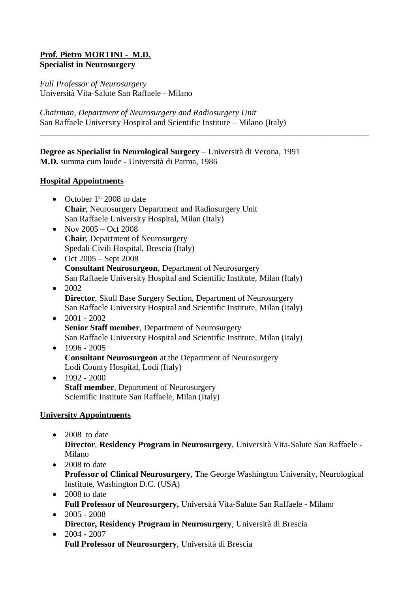#### **Prof. Pietro MORTINI - M.D. Specialist in Neurosurgery**

*Full Professor of Neurosurgery* Università Vita-Salute San Raffaele - Milano

*Chairman, Department of Neurosurgery and Radiosurgery Unit* San Raffaele University Hospital and Scientific Institute – Milano (Italy)

**Degree as Specialist in Neurological Surgery** – Università di Verona, 1991 **M.D.** summa cum laude - Università di Parma, 1986

\_\_\_\_\_\_\_\_\_\_\_\_\_\_\_\_\_\_\_\_\_\_\_\_\_\_\_\_\_\_\_\_\_\_\_\_\_\_\_\_\_\_\_\_\_\_\_\_\_\_\_\_\_\_\_\_\_\_\_\_\_\_\_\_\_\_\_\_\_\_\_\_\_\_\_\_\_\_

#### **Hospital Appointments**

- October  $1<sup>st</sup>$  2008 to date **Chair**, Neurosurgery Department and Radiosurgery Unit San Raffaele University Hospital, Milan (Italy)
- Nov  $2005 Oct$  2008 **Chair**, Department of Neurosurgery Spedali Civili Hospital, Brescia (Italy)
- $\bullet$  Oct 2005 Sept 2008 **Consultant Neurosurgeon**, Department of Neurosurgery San Raffaele University Hospital and Scientific Institute, Milan (Italy)
- $\bullet$  2002 **Director**, Skull Base Surgery Section, Department of Neurosurgery San Raffaele University Hospital and Scientific Institute, Milan (Italy)
- $\bullet$  2001 2002 **Senior Staff member**, Department of Neurosurgery San Raffaele University Hospital and Scientific Institute, Milan (Italy)
- $-1996 2005$ **Consultant Neurosurgeon** at the Department of Neurosurgery Lodi County Hospital, Lodi (Italy)
- $-1992 2000$ **Staff member**, Department of Neurosurgery Scientific Institute San Raffaele, Milan (Italy)

### **University Appointments**

- $\bullet$  2008 to date **Director**, **Residency Program in Neurosurgery**, Università Vita-Salute San Raffaele - Milano
- $\bullet$  2008 to date **Professor of Clinical Neurosurgery**, The George Washington University, Neurological Institute, Washington D.C. (USA)
- 2008 to date **Full Professor of Neurosurgery,** Università Vita-Salute San Raffaele - Milano  $\bullet$  2005 - 2008
	- **Director, Residency Program in Neurosurgery**, Università di Brescia
- $\bullet$  2004 2007 **Full Professor of Neurosurgery**, Università di Brescia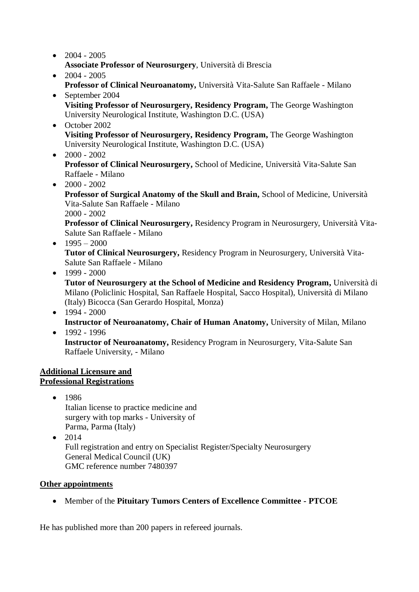- $\bullet$  2004 2005 **Associate Professor of Neurosurgery**, Università di Brescia
- $\bullet$  2004 2005 **Professor of Clinical Neuroanatomy,** Università Vita-Salute San Raffaele - Milano
- September 2004 **Visiting Professor of Neurosurgery, Residency Program,** The George Washington University Neurological Institute, Washington D.C. (USA)
- October 2002 **Visiting Professor of Neurosurgery, Residency Program,** The George Washington University Neurological Institute, Washington D.C. (USA)
- $\bullet$  2000 2002

**Professor of Clinical Neurosurgery,** School of Medicine, Università Vita-Salute San Raffaele - Milano

 $\bullet$  2000 - 2002

**Professor of Surgical Anatomy of the Skull and Brain,** School of Medicine, Università Vita-Salute San Raffaele - Milano

2000 - 2002

**Professor of Clinical Neurosurgery,** Residency Program in Neurosurgery, Università Vita-Salute San Raffaele - Milano

- $-1995 2000$ **Tutor of Clinical Neurosurgery,** Residency Program in Neurosurgery, Università Vita-Salute San Raffaele - Milano
- $-1999 2000$

**Tutor of Neurosurgery at the School of Medicine and Residency Program,** Università di Milano (Policlinic Hospital, San Raffaele Hospital, Sacco Hospital), Università di Milano (Italy) Bicocca (San Gerardo Hospital, Monza)

- $-1994 2000$ **Instructor of Neuroanatomy, Chair of Human Anatomy, University of Milan, Milano**
- $-1992 1996$

**Instructor of Neuroanatomy,** Residency Program in Neurosurgery, Vita-Salute San Raffaele University, - Milano

## **Additional Licensure and Professional Registrations**

 $• 1986$ Italian license to practice medicine and surgery with top marks - University of Parma, Parma (Italy)

 $\bullet$  2014 Full registration and entry on Specialist Register/Specialty Neurosurgery General Medical Council (UK) GMC reference number 7480397

# **Other appointments**

Member of the **Pituitary Tumors Centers of Excellence Committee - PTCOE**

He has published more than 200 papers in refereed journals.